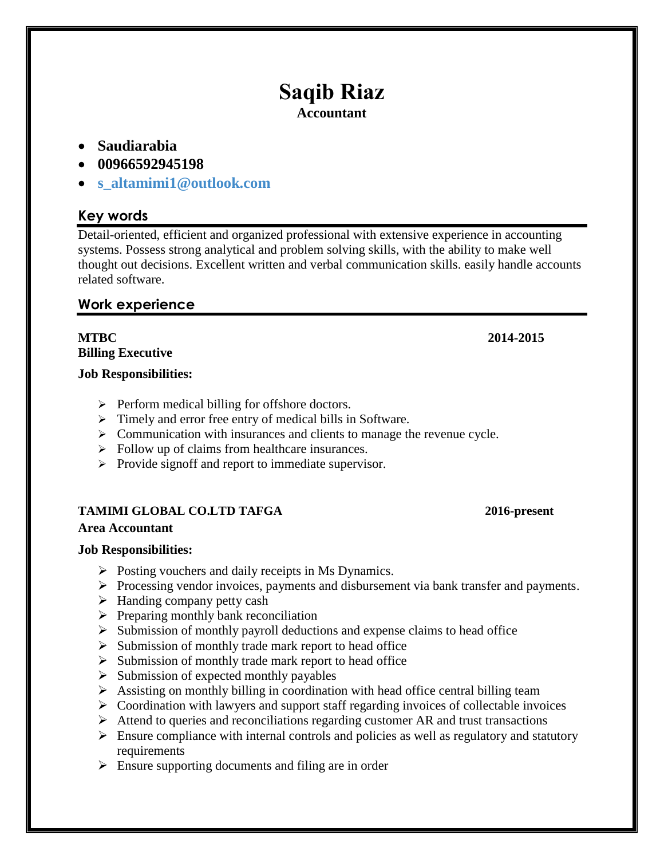# **Saqib Riaz Accountant**

- **Saudiarabia**
- **00966592945198**
- **[s\\_altamimi1@outlook.com](mailto:s_altamimi1@outlook.com)**

# **Key words**

Detail-oriented, efficient and organized professional with extensive experience in accounting systems. Possess strong analytical and problem solving skills, with the ability to make well thought out decisions. Excellent written and verbal communication skills. easily handle accounts related software.

# **Work experience**

**MTBC 2014-2015 Billing Executive**

#### **Job Responsibilities:**

- $\triangleright$  Perform medical billing for offshore doctors.
- $\triangleright$  Timely and error free entry of medical bills in Software.
- $\triangleright$  Communication with insurances and clients to manage the revenue cycle.
- $\triangleright$  Follow up of claims from healthcare insurances.
- $\triangleright$  Provide signoff and report to immediate supervisor.

# **TAMIMI GLOBAL CO.LTD TAFGA 2016-present**

# **Area Accountant**

#### **Job Responsibilities:**

- $\triangleright$  Posting vouchers and daily receipts in Ms Dynamics.
- $\triangleright$  Processing vendor invoices, payments and disbursement via bank transfer and payments.
- $\triangleright$  Handing company petty cash
- $\triangleright$  Preparing monthly bank reconciliation
- $\triangleright$  Submission of monthly payroll deductions and expense claims to head office
- $\triangleright$  Submission of monthly trade mark report to head office
- $\triangleright$  Submission of monthly trade mark report to head office
- $\triangleright$  Submission of expected monthly payables
- $\triangleright$  Assisting on monthly billing in coordination with head office central billing team
- $\triangleright$  Coordination with lawyers and support staff regarding invoices of collectable invoices
- $\triangleright$  Attend to queries and reconciliations regarding customer AR and trust transactions
- $\triangleright$  Ensure compliance with internal controls and policies as well as regulatory and statutory requirements
- $\triangleright$  Ensure supporting documents and filing are in order